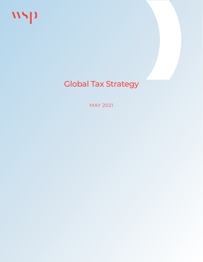



# Global Tax Strategy

MAY 2021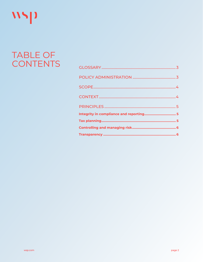

# TABLE OF **CONTENTS**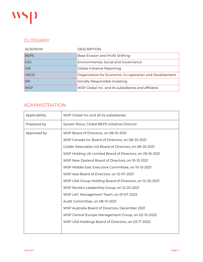

### <span id="page-2-0"></span>**GLOSSARY**

| <b>ACRONYM</b> | <b>DESCRIPTION</b>                                     |  |  |
|----------------|--------------------------------------------------------|--|--|
| <b>BEPS</b>    | Base Erosion and Profit Shifting                       |  |  |
| <b>ESG</b>     | Environmental, Social and Governance                   |  |  |
| <b>GRI</b>     | <b>Global Initiative Reporting</b>                     |  |  |
| <b>OECD</b>    | Organization for Economic Co-operation and Development |  |  |
| <b>SRI</b>     | Socially Responsible Investing                         |  |  |
| <b>WSP</b>     | WSP Global Inc. and its subsidiaries and affiliates    |  |  |

# <span id="page-2-1"></span>ADMINISTRATION

| Applicability | WSP Global Inc and all its subsidiaries                                                                                                                                                                                                                                                                                                                                                         |  |  |
|---------------|-------------------------------------------------------------------------------------------------------------------------------------------------------------------------------------------------------------------------------------------------------------------------------------------------------------------------------------------------------------------------------------------------|--|--|
| Prepared by   | Sylvain Rioux, Global BEPS Initiative Director                                                                                                                                                                                                                                                                                                                                                  |  |  |
| Approved by   | WSP Board of Directors, on 08-10-2021<br>WSP Canada Inc Board of Directors, on 08-25-2021<br>Golder Associates Ltd Board of Directors, on 08-25-2021<br>WSP Holding UK Limited Board of Directors, on 09-16-2021<br>WSP New Zealand Board of Directors, on 10-13-2021<br>WSP Middle East Executive Committee, on 10-13-2021                                                                     |  |  |
|               | WSP Asia Board of Directors, on 12-07-2021<br>WSP USA Group Holding Board of Directors, on 12-20-2021<br>WSP Nordics Leadership Group, on 12-20-2021<br>WSP LAC Management Team, on 01-07-2022<br>Audit Committee, on 08-10-2021<br>WSP Australia Board of Directors, December 2021<br>WSP Central Europe Management Group, on 02-10-2022<br>WSP USA Holdings Board of Directors, on 03-17-2022 |  |  |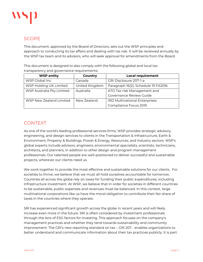

## <span id="page-3-0"></span>SCOPE

This document, approved by the Board of Directors, sets out the WSP principles and approach to conducting its tax affairs and dealing with tax risk. It will be reviewed annually by the WSP tax team and its advisors, who will seek approval for amendments from the Board.

This document is designed to also comply with the following global and local tax transparency and governance requirements:

| <b>WSP entity</b>         | Country        | <b>Local requirement</b>             |
|---------------------------|----------------|--------------------------------------|
| WSP Global Inc            | Canada         | GRI Disclosure 207-1-a               |
| WSP Holding UK Limited    | United Kingdom | Paragraph 16(2), Schedule 19 FA2016  |
| WSP Australia Pty Limited | Australia      | ATO Tax risk Management and          |
|                           |                | Governance Review Guide              |
| WSP New Zealand Limited   | New Zealand    | <b>IRD Multinational Enterprises</b> |
|                           |                | Compliance Focus 2019                |

## <span id="page-3-1"></span>CONTEXT

As one of the world's leading professional services firms, WSP provides strategic advisory, engineering, and design services to clients in the Transportation & Infrastructure, Earth & Environment, Property & Buildings, Power & Energy, Resources, and Industry sectors. WSP's global experts include advisors, engineers, environmental specialists, scientists, technicians, architects, and planners, in addition to other design and program management professionals. Our talented people are well-positioned to deliver successful and sustainable projects, wherever our clients need us.

We work together to provide the most effective and sustainable solutions for our clients. For societies to thrive, we believe that we must all hold ourselves accountable for tomorrow. Countries all across the globe rely on taxes for funding their public expenditures, including infrastructure investment. At WSP, we believe that in order for societies in different countries to be sustainable, public expenses and revenues must be balanced. In this context, large multinational corporations like us have the moral obligation to contribute their fair share of taxes in the countries where they operate.

SRI has experienced significant growth across the globe in recent years and will likely increase even more in the future. SRI is often considered by investment professionals through the lens of ESG factors for investing. This approach focuses on the company's management practices and whether they tend towards sustainability and community improvement. The GRI's new reporting standard on tax – GRI 207 - enables organizations to better understand and communicate information about their tax practices publicly. It is part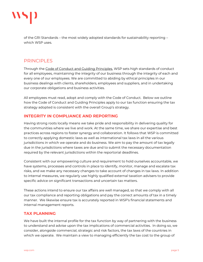

of the GRI Standards – the most widely adopted standards for sustainability reporting – which WSP uses.

### <span id="page-4-0"></span>**PRINCIPLES**

Through the [Code of Conduct and Guiding Principles,](https://wsponline-my.sharepoint.com/personal/sylvain_rioux_wsp_com/Documents/GRI/WSP/Code%20of%20Conduct.pdf) WSP sets high standards of conduct for all employees, maintaining the integrity of our business through the integrity of each and every one of our employees. We are committed to abiding by ethical principles in our business dealings with clients, shareholders, employees and suppliers, and in undertaking our corporate obligations and business activities.

All employees must read, adopt and comply with the Code of Conduct. Below we outline how the Code of Conduct and Guiding Principles apply to our tax function ensuring the tax strategy adopted is consistent with the overall Group's strategy.

#### <span id="page-4-1"></span>**INTEGRITY IN COMPLIANCE AND REPORTING**

Having strong roots locally means we take pride and responsibility in delivering quality for the communities where we live and work. At the same time, we share our expertise and best practices across regions to foster synergy and collaboration. It follows that WSP is committed to correctly applying domestic laws as well as international tax laws in all the various jurisdictions in which we operate and do business. We aim to pay the amount of tax legally due in the jurisdictions where taxes are due and to submit the necessary documentation required by the relevant jurisdictions within the reportorial deadlines.

Consistent with our empowering culture and requirement to hold ourselves accountable, we have systems, processes and controls in place to identify, monitor, manage and escalate tax risks, and we make any necessary changes to take account of changes in tax laws. In addition to internal measures, we regularly use highly qualified external taxation advisers to provide specific advice on significant transactions and uncertain tax matters.

These actions intend to ensure our tax affairs are well managed, so that we comply with all our tax compliance and reporting obligations and pay the correct amounts of tax in a timely manner. We likewise ensure tax is accurately reported in WSP's financial statements and internal management reports.

#### <span id="page-4-2"></span>**TAX PLANNING**

We have built the internal profile for the tax function by way of partnering with the business to understand and advise upon the tax implications of commercial activities. In doing so, we consider, alongside commercial, strategic and risk factors, the tax laws of the countries in which we operate. We maintain a view to managing efficiently the tax cost to the group of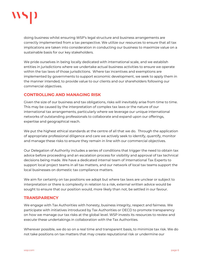

doing business whilst ensuring WSP's legal structure and business arrangements are correctly implemented from a tax perspective. We utilize our resources to ensure that all tax implications are taken into consideration in conducting our business to maximize value on a sustainable basis for our key stakeholders.

We pride ourselves in being locally dedicated with international scale, and we establish entities in jurisdictions where we undertake actual business activities to ensure we operate within the tax laws of those jurisdictions. Where tax incentives and exemptions are implemented by governments to support economic development, we seek to apply them in the manner intended, to provide value to our clients and our shareholders following our commercial objectives.

#### <span id="page-5-0"></span>**CONTROLLING AND MANAGING RISK**

Given the size of our business and tax obligations, risks will inevitably arise from time to time. This may be caused by the interpretation of complex tax laws or the nature of our international tax arrangements, particularly where we leverage our unique international networks of outstanding professionals to collaborate and expand upon our offerings, expertise and geographical reach.

We put the highest ethical standards at the centre of all that we do. Through the application of appropriate professional diligence and care we actively seek to identify, quantify, monitor and manage these risks to ensure they remain in line with our commercial objectives.

Our Delegation of Authority includes a series of conditions that trigger the need to obtain tax advice before proceeding and an escalation process for visibility and approval of tax technical decisions being made. We have a dedicated internal team of International Tax Experts to support local project teams in all tax matters, and our network of local tax teams support the local businesses on domestic tax compliance matters.

We aim for certainty on tax positions we adopt but where tax laws are unclear or subject to interpretation or there is complexity in relation to a risk, external written advice would be sought to ensure that our position would, more likely than not, be settled in our favour.

#### <span id="page-5-1"></span>**TRANSPARENCY**

We engage with Tax Authorities with honesty, business integrity, respect and fairness. We participate with initiatives introduced by Tax Authorities or OECD to promote transparency on how we manage our tax risks at the global level. WSP invests its resources to review and execute these undertakings in collaboration with the Tax Authorities.

Wherever possible, we do so on a real time and transparent basis, to minimize tax risk. We do not take positions on tax matters that may create reputational risk or undermine our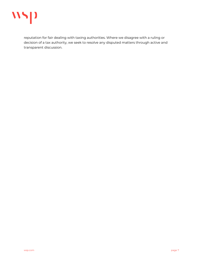

reputation for fair dealing with taxing authorities. Where we disagree with a ruling or decision of a tax authority, we seek to resolve any disputed matters through active and transparent discussion.